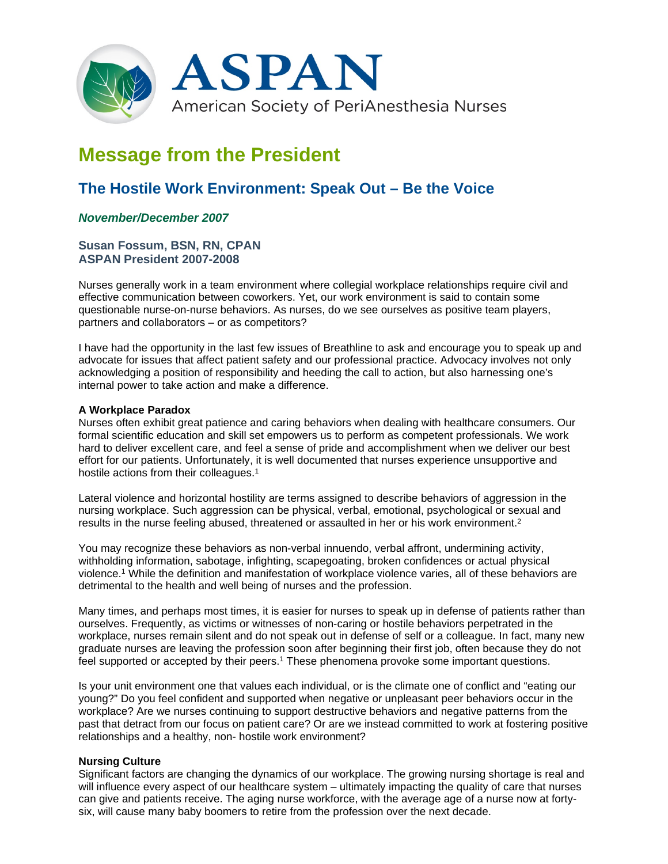

# **Message from the President**

## **The Hostile Work Environment: Speak Out – Be the Voice**

### *November/December 2007*

#### **Susan Fossum, BSN, RN, CPAN ASPAN President 2007-2008**

Nurses generally work in a team environment where collegial workplace relationships require civil and effective communication between coworkers. Yet, our work environment is said to contain some questionable nurse-on-nurse behaviors. As nurses, do we see ourselves as positive team players, partners and collaborators – or as competitors?

I have had the opportunity in the last few issues of Breathline to ask and encourage you to speak up and advocate for issues that affect patient safety and our professional practice. Advocacy involves not only acknowledging a position of responsibility and heeding the call to action, but also harnessing one's internal power to take action and make a difference.

#### **A Workplace Paradox**

Nurses often exhibit great patience and caring behaviors when dealing with healthcare consumers. Our formal scientific education and skill set empowers us to perform as competent professionals. We work hard to deliver excellent care, and feel a sense of pride and accomplishment when we deliver our best effort for our patients. Unfortunately, it is well documented that nurses experience unsupportive and hostile actions from their colleagues.<sup>1</sup>

Lateral violence and horizontal hostility are terms assigned to describe behaviors of aggression in the nursing workplace. Such aggression can be physical, verbal, emotional, psychological or sexual and results in the nurse feeling abused, threatened or assaulted in her or his work environment.2

You may recognize these behaviors as non-verbal innuendo, verbal affront, undermining activity, withholding information, sabotage, infighting, scapegoating, broken confidences or actual physical violence.1 While the definition and manifestation of workplace violence varies, all of these behaviors are detrimental to the health and well being of nurses and the profession.

Many times, and perhaps most times, it is easier for nurses to speak up in defense of patients rather than ourselves. Frequently, as victims or witnesses of non-caring or hostile behaviors perpetrated in the workplace, nurses remain silent and do not speak out in defense of self or a colleague. In fact, many new graduate nurses are leaving the profession soon after beginning their first job, often because they do not feel supported or accepted by their peers.<sup>1</sup> These phenomena provoke some important questions.

Is your unit environment one that values each individual, or is the climate one of conflict and "eating our young?" Do you feel confident and supported when negative or unpleasant peer behaviors occur in the workplace? Are we nurses continuing to support destructive behaviors and negative patterns from the past that detract from our focus on patient care? Or are we instead committed to work at fostering positive relationships and a healthy, non- hostile work environment?

#### **Nursing Culture**

Significant factors are changing the dynamics of our workplace. The growing nursing shortage is real and will influence every aspect of our healthcare system – ultimately impacting the quality of care that nurses can give and patients receive. The aging nurse workforce, with the average age of a nurse now at fortysix, will cause many baby boomers to retire from the profession over the next decade.